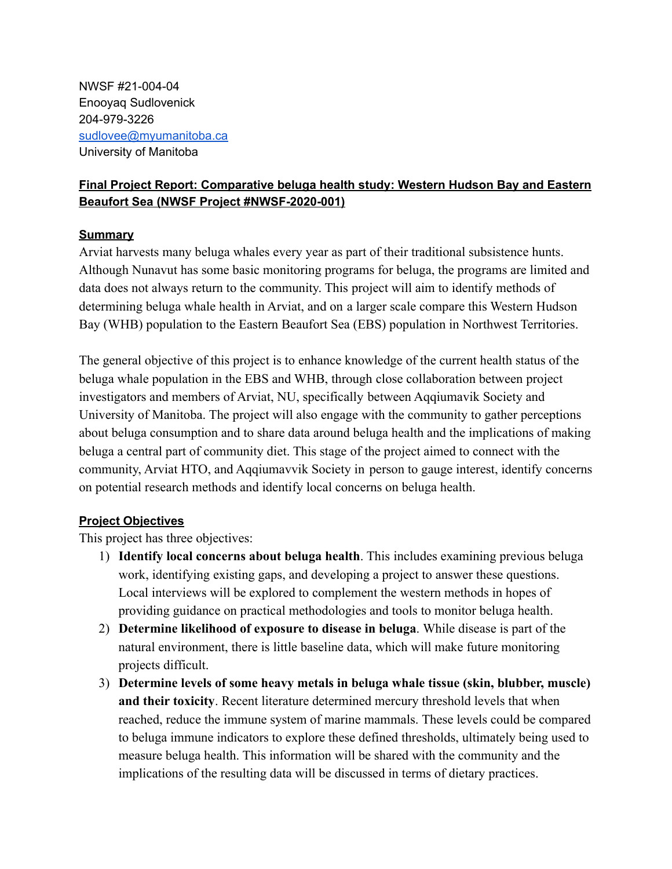NWSF #21-004-04 Enooyaq Sudlovenick 204-979-3226 [sudlovee@myumanitoba.ca](mailto:sudlovee@myumanitoba.ca) University of Manitoba

# **Final Project Report: Comparative beluga health study: Western Hudson Bay and Eastern Beaufort Sea (NWSF Project #NWSF-2020-001)**

### **Summary**

Arviat harvests many beluga whales every year as part of their traditional subsistence hunts. Although Nunavut has some basic monitoring programs for beluga, the programs are limited and data does not always return to the community. This project will aim to identify methods of determining beluga whale health in Arviat, and on a larger scale compare this Western Hudson Bay (WHB) population to the Eastern Beaufort Sea (EBS) population in Northwest Territories.

The general objective of this project is to enhance knowledge of the current health status of the beluga whale population in the EBS and WHB, through close collaboration between project investigators and members of Arviat, NU, specifically between Aqqiumavik Society and University of Manitoba. The project will also engage with the community to gather perceptions about beluga consumption and to share data around beluga health and the implications of making beluga a central part of community diet. This stage of the project aimed to connect with the community, Arviat HTO, and Aqqiumavvik Society in person to gauge interest, identify concerns on potential research methods and identify local concerns on beluga health.

## **Project Objectives**

This project has three objectives:

- 1) **Identify local concerns about beluga health**. This includes examining previous beluga work, identifying existing gaps, and developing a project to answer these questions. Local interviews will be explored to complement the western methods in hopes of providing guidance on practical methodologies and tools to monitor beluga health.
- 2) **Determine likelihood of exposure to disease in beluga**. While disease is part of the natural environment, there is little baseline data, which will make future monitoring projects difficult.
- 3) **Determine levels of some heavy metals in beluga whale tissue (skin, blubber, muscle) and their toxicity**. Recent literature determined mercury threshold levels that when reached, reduce the immune system of marine mammals. These levels could be compared to beluga immune indicators to explore these defined thresholds, ultimately being used to measure beluga health. This information will be shared with the community and the implications of the resulting data will be discussed in terms of dietary practices.